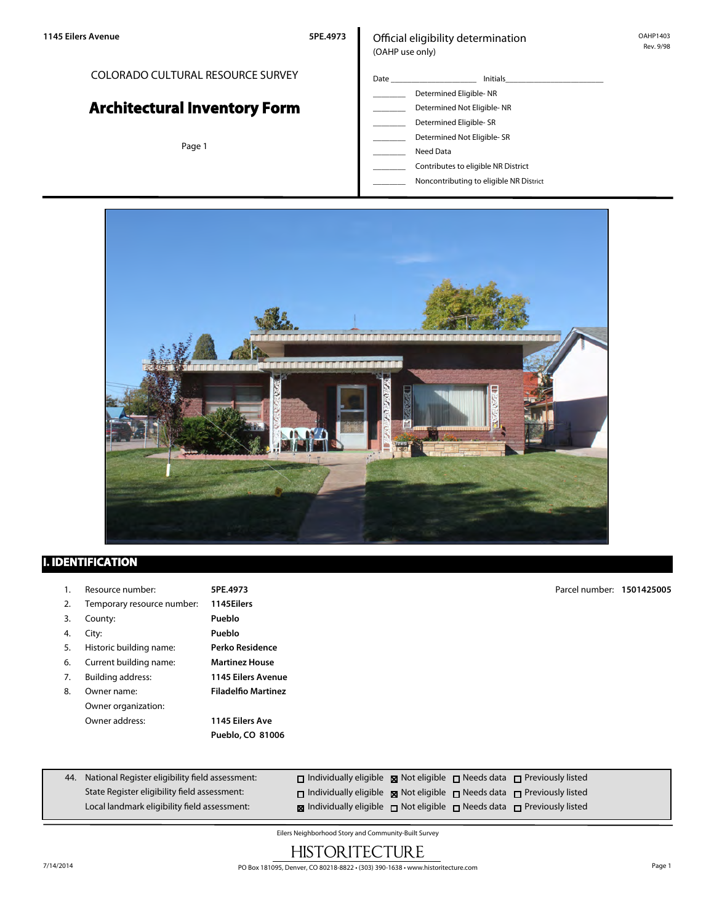## COLORADO CULTURAL RESOURCE SURVEY

# **Architectural Inventory Form**

Page 1

### Official eligibility determination (OAHP use only)

| Date | <b>Initials</b>            |  |  |  |  |  |
|------|----------------------------|--|--|--|--|--|
|      | Determined Eligible-NR     |  |  |  |  |  |
|      | Determined Not Eligible-NR |  |  |  |  |  |
|      | Determined Eligible- SR    |  |  |  |  |  |
|      | Determined Not Eligible-SR |  |  |  |  |  |
|      | Need Data                  |  |  |  |  |  |

\_\_\_\_\_\_\_\_ Contributes to eligible NR District \_\_\_\_\_\_\_\_ Noncontributing to eligible NR District



## **I. IDENTIFICATION**

| 1.  | Resource number:                                | 5PE.4973                   |  | Parcel number:                                                          | 1501425005 |
|-----|-------------------------------------------------|----------------------------|--|-------------------------------------------------------------------------|------------|
| 2.  | Temporary resource number:                      | 1145Eilers                 |  |                                                                         |            |
| 3.  | County:                                         | Pueblo                     |  |                                                                         |            |
| 4.  | City:                                           | Pueblo                     |  |                                                                         |            |
| 5.  | Historic building name:                         | Perko Residence            |  |                                                                         |            |
| 6.  | Current building name:                          | <b>Martinez House</b>      |  |                                                                         |            |
| 7.  | Building address:                               | <b>1145 Eilers Avenue</b>  |  |                                                                         |            |
| 8.  | Owner name:                                     | <b>Filadelfio Martinez</b> |  |                                                                         |            |
|     | Owner organization:                             |                            |  |                                                                         |            |
|     | Owner address:                                  | 1145 Eilers Ave            |  |                                                                         |            |
|     |                                                 | Pueblo, CO 81006           |  |                                                                         |            |
|     |                                                 |                            |  |                                                                         |            |
|     |                                                 |                            |  |                                                                         |            |
| 44. | National Register eligibility field assessment: |                            |  | □ Individually eligible ■ Not eligible □ Needs data □ Previously listed |            |

| Local landmark eligibility field assessment: | <b>N</b> Individually eligible $\Box$ Not eligible $\Box$ Needs data $\Box$ Previously listed |  |  |
|----------------------------------------------|-----------------------------------------------------------------------------------------------|--|--|
|                                              |                                                                                               |  |  |
| State Register eligibility field assessment: | $\Box$ Individually eligible $\Box$ Not eligible $\Box$ Needs data $\Box$ Previously listed   |  |  |

Eilers Neighborhood Story and Community-Built Survey

# **HISTORITECTURE**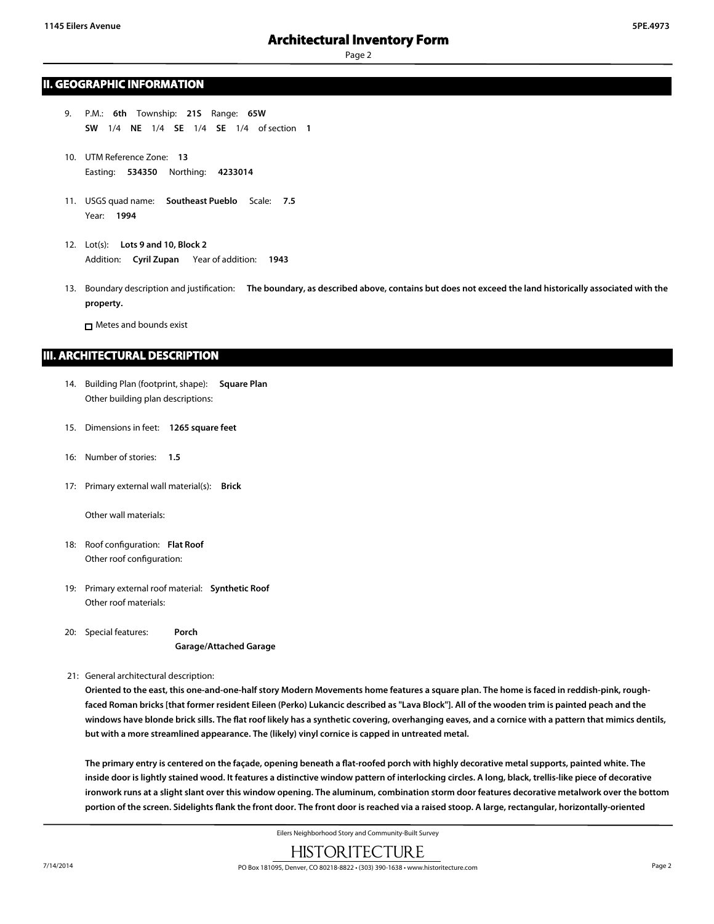Page 2

#### **II. GEOGRAPHIC INFORMATION**

- 9. P.M.: **6th** Township: **21S** Range: **65W SW** 1/4 **NE** 1/4 **SE** 1/4 **SE** 1/4 of section **1**
- 10. UTM Reference Zone: **13** Easting: **534350** Northing: **4233014**
- 11. USGS quad name: **Southeast Pueblo** Scale: **7.5** Year: **1994**
- 12. Lot(s): **Lots 9 and 10, Block 2** Addition: **Cyril Zupan** Year of addition: **1943**
- 13. Boundary description and justification: **The boundary, as described above, contains but does not exceed the land historically associated with the property.**

Metes and bounds exist

#### **III. ARCHITECTURAL DESCRIPTION**

- 14. Building Plan (footprint, shape): **Square Plan** Other building plan descriptions:
- 15. Dimensions in feet: **1265 square feet**
- 16: Number of stories: **1.5**
- 17: Primary external wall material(s): **Brick**

Other wall materials:

- 18: Roof configuration: **Flat Roof** Other roof configuration:
- 19: Primary external roof material: **Synthetic Roof** Other roof materials:

20: Special features: **Porch Garage/Attached Garage**

21: General architectural description:

**Oriented to the east, this one-and-one-half story Modern Movements home features a square plan. The home is faced in reddish-pink, roughfaced Roman bricks [that former resident Eileen (Perko) Lukancic described as "Lava Block"]. All of the wooden trim is painted peach and the windows have blonde brick sills. The flat roof likely has a synthetic covering, overhanging eaves, and a cornice with a pattern that mimics dentils, but with a more streamlined appearance. The (likely) vinyl cornice is capped in untreated metal.**

**The primary entry is centered on the façade, opening beneath a flat-roofed porch with highly decorative metal supports, painted white. The inside door is lightly stained wood. It features a distinctive window pattern of interlocking circles. A long, black, trellis-like piece of decorative ironwork runs at a slight slant over this window opening. The aluminum, combination storm door features decorative metalwork over the bottom portion of the screen. Sidelights flank the front door. The front door is reached via a raised stoop. A large, rectangular, horizontally-oriented**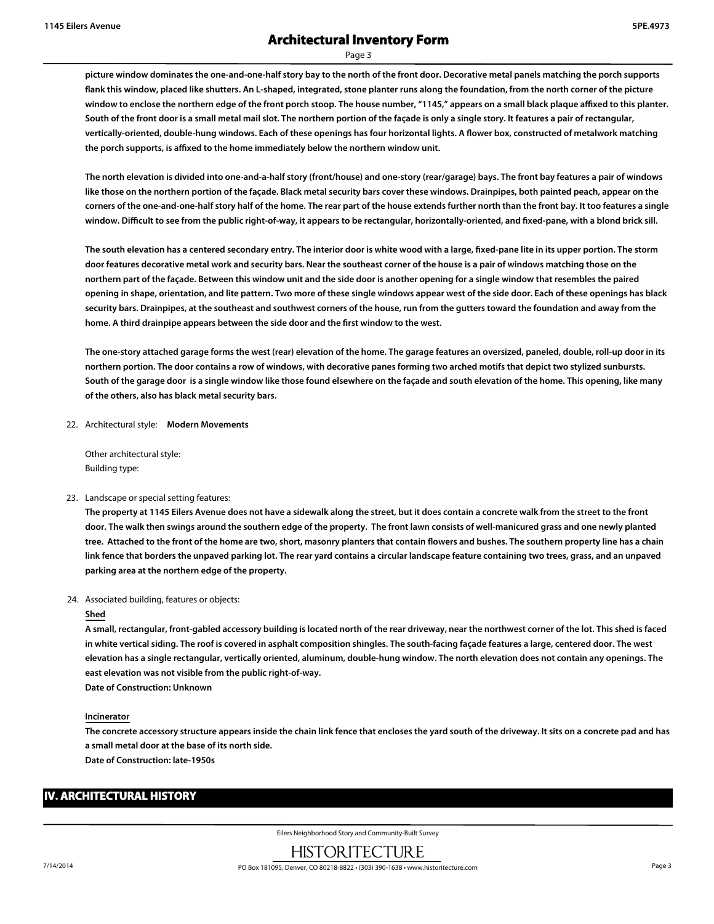Page 3

**picture window dominates the one-and-one-half story bay to the north of the front door. Decorative metal panels matching the porch supports flank this window, placed like shutters. An L-shaped, integrated, stone planter runs along the foundation, from the north corner of the picture window to enclose the northern edge of the front porch stoop. The house number, "1145," appears on a small black plaque affixed to this planter. South of the front door is a small metal mail slot. The northern portion of the façade is only a single story. It features a pair of rectangular, vertically-oriented, double-hung windows. Each of these openings has four horizontal lights. A flower box, constructed of metalwork matching the porch supports, is affixed to the home immediately below the northern window unit.**

**The north elevation is divided into one-and-a-half story (front/house) and one-story (rear/garage) bays. The front bay features a pair of windows like those on the northern portion of the façade. Black metal security bars cover these windows. Drainpipes, both painted peach, appear on the corners of the one-and-one-half story half of the home. The rear part of the house extends further north than the front bay. It too features a single window. Difficult to see from the public right-of-way, it appears to be rectangular, horizontally-oriented, and fixed-pane, with a blond brick sill.**

**The south elevation has a centered secondary entry. The interior door is white wood with a large, fixed-pane lite in its upper portion. The storm door features decorative metal work and security bars. Near the southeast corner of the house is a pair of windows matching those on the northern part of the façade. Between this window unit and the side door is another opening for a single window that resembles the paired opening in shape, orientation, and lite pattern. Two more of these single windows appear west of the side door. Each of these openings has black security bars. Drainpipes, at the southeast and southwest corners of the house, run from the gutters toward the foundation and away from the home. A third drainpipe appears between the side door and the first window to the west.**

**The one-story attached garage forms the west (rear) elevation of the home. The garage features an oversized, paneled, double, roll-up door in its northern portion. The door contains a row of windows, with decorative panes forming two arched motifs that depict two stylized sunbursts. South of the garage door is a single window like those found elsewhere on the façade and south elevation of the home. This opening, like many of the others, also has black metal security bars.**

22. Architectural style: **Modern Movements**

Other architectural style: Building type:

#### 23. Landscape or special setting features:

**The property at 1145 Eilers Avenue does not have a sidewalk along the street, but it does contain a concrete walk from the street to the front door. The walk then swings around the southern edge of the property. The front lawn consists of well-manicured grass and one newly planted tree. Attached to the front of the home are two, short, masonry planters that contain flowers and bushes. The southern property line has a chain link fence that borders the unpaved parking lot. The rear yard contains a circular landscape feature containing two trees, grass, and an unpaved parking area at the northern edge of the property.**

24. Associated building, features or objects:

#### **Shed**

**A small, rectangular, front-gabled accessory building is located north of the rear driveway, near the northwest corner of the lot. This shed is faced in white vertical siding. The roof is covered in asphalt composition shingles. The south-facing façade features a large, centered door. The west elevation has a single rectangular, vertically oriented, aluminum, double-hung window. The north elevation does not contain any openings. The east elevation was not visible from the public right-of-way.**

**Date of Construction: Unknown**

#### **Incinerator**

**The concrete accessory structure appears inside the chain link fence that encloses the yard south of the driveway. It sits on a concrete pad and has a small metal door at the base of its north side.**

**Date of Construction: late-1950s**

## **IV. ARCHITECTURAL HISTORY**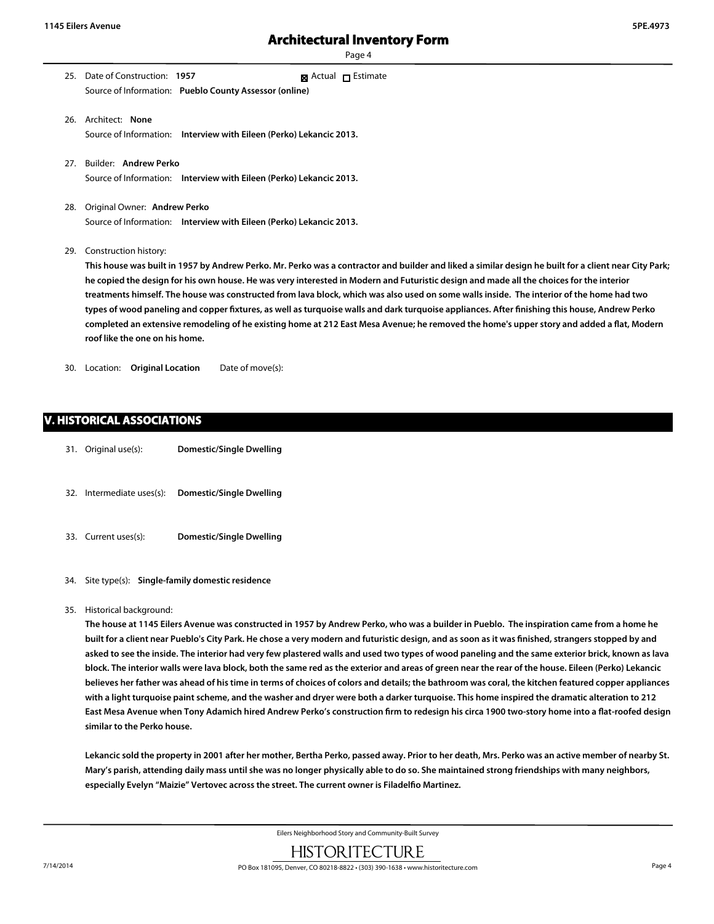Page 4

- 25. Date of Construction: **1957** Source of Information: **Pueblo County Assessor (online)** ■ Actual □ Estimate
- 26. Architect: **None** Source of Information: **Interview with Eileen (Perko) Lekancic 2013.**
- 27. Builder: **Andrew Perko** Source of Information: **Interview with Eileen (Perko) Lekancic 2013.**
- 28. Original Owner: **Andrew Perko** Source of Information: **Interview with Eileen (Perko) Lekancic 2013.**
- 29. Construction history:

**This house was built in 1957 by Andrew Perko. Mr. Perko was a contractor and builder and liked a similar design he built for a client near City Park; he copied the design for his own house. He was very interested in Modern and Futuristic design and made all the choices for the interior treatments himself. The house was constructed from lava block, which was also used on some walls inside. The interior of the home had two types of wood paneling and copper fixtures, as well as turquoise walls and dark turquoise appliances. After finishing this house, Andrew Perko completed an extensive remodeling of he existing home at 212 East Mesa Avenue; he removed the home's upper story and added a flat, Modern roof like the one on his home.**

30. Location: **Original Location** Date of move(s):

## **V. HISTORICAL ASSOCIATIONS**

- 31. Original use(s): **Domestic/Single Dwelling**
- 32. Intermediate uses(s): **Domestic/Single Dwelling**
- 33. Current uses(s): **Domestic/Single Dwelling**
- 34. Site type(s): **Single-family domestic residence**
- 35. Historical background:

**The house at 1145 Eilers Avenue was constructed in 1957 by Andrew Perko, who was a builder in Pueblo. The inspiration came from a home he built for a client near Pueblo's City Park. He chose a very modern and futuristic design, and as soon as it was finished, strangers stopped by and asked to see the inside. The interior had very few plastered walls and used two types of wood paneling and the same exterior brick, known as lava block. The interior walls were lava block, both the same red as the exterior and areas of green near the rear of the house. Eileen (Perko) Lekancic believes her father was ahead of his time in terms of choices of colors and details; the bathroom was coral, the kitchen featured copper appliances with a light turquoise paint scheme, and the washer and dryer were both a darker turquoise. This home inspired the dramatic alteration to 212 East Mesa Avenue when Tony Adamich hired Andrew Perko's construction firm to redesign his circa 1900 two-story home into a flat-roofed design similar to the Perko house.**

**Lekancic sold the property in 2001 after her mother, Bertha Perko, passed away. Prior to her death, Mrs. Perko was an active member of nearby St. Mary's parish, attending daily mass until she was no longer physically able to do so. She maintained strong friendships with many neighbors, especially Evelyn "Maizie" Vertovec across the street. The current owner is Filadelfio Martinez.**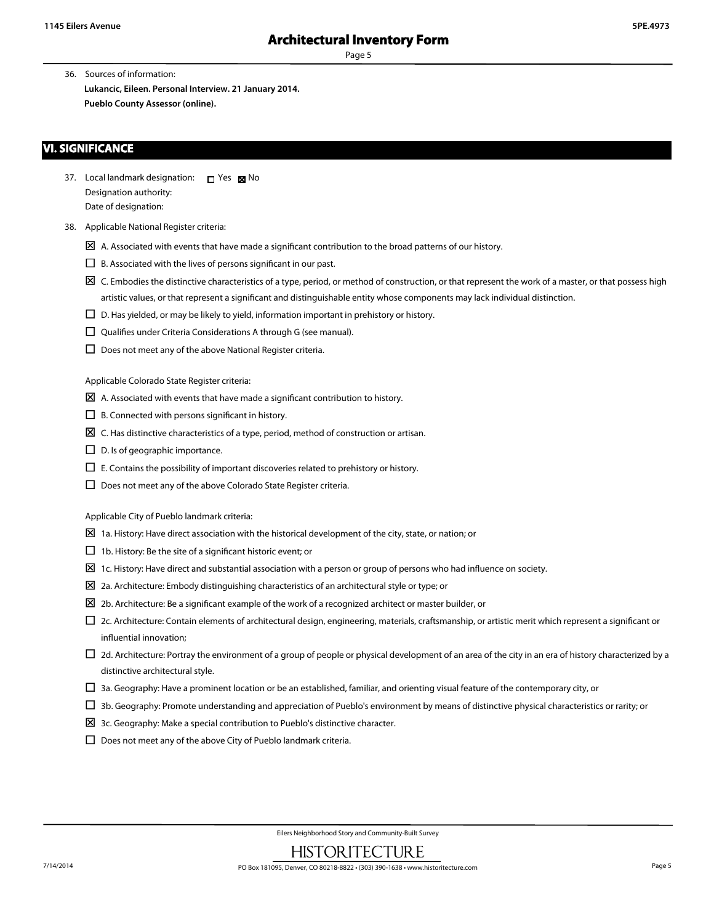Page 5

36. Sources of information: **Lukancic, Eileen. Personal Interview. 21 January 2014. Pueblo County Assessor (online).**

#### **VI. SIGNIFICANCE**

- 37. Local landmark designation:  $\Box$  Yes  $\boxtimes$  No Designation authority: Date of designation:
- 38. Applicable National Register criteria:
	- $\boxtimes$  A. Associated with events that have made a significant contribution to the broad patterns of our history.
	- $\square$  B. Associated with the lives of persons significant in our past.
	- $\boxtimes$  C. Embodies the distinctive characteristics of a type, period, or method of construction, or that represent the work of a master, or that possess high artistic values, or that represent a significant and distinguishable entity whose components may lack individual distinction.
	- $\square$  D. Has yielded, or may be likely to yield, information important in prehistory or history.
	- $\square$  Qualifies under Criteria Considerations A through G (see manual).
	- $\square$  Does not meet any of the above National Register criteria.

Applicable Colorado State Register criteria:

- $\boxtimes$  A. Associated with events that have made a significant contribution to history.
- $\Box$  B. Connected with persons significant in history.
- $\boxtimes$  C. Has distinctive characteristics of a type, period, method of construction or artisan.
- $\square$  D. Is of geographic importance.
- $\square$  E. Contains the possibility of important discoveries related to prehistory or history.
- $\Box$  Does not meet any of the above Colorado State Register criteria.

Applicable City of Pueblo landmark criteria:

- $\Sigma$  1a. History: Have direct association with the historical development of the city, state, or nation; or
- $\Box$  1b. History: Be the site of a significant historic event; or
- $\Sigma$  1c. History: Have direct and substantial association with a person or group of persons who had influence on society.
- $\Sigma$  2a. Architecture: Embody distinguishing characteristics of an architectural style or type; or
- $\Sigma$  2b. Architecture: Be a significant example of the work of a recognized architect or master builder, or
- £ 2c. Architecture: Contain elements of architectural design, engineering, materials, craftsmanship, or artistic merit which represent a significant or influential innovation;
- $\Box$  2d. Architecture: Portray the environment of a group of people or physical development of an area of the city in an era of history characterized by a distinctive architectural style.
- $\Box$  3a. Geography: Have a prominent location or be an established, familiar, and orienting visual feature of the contemporary city, or
- $\Box$  3b. Geography: Promote understanding and appreciation of Pueblo's environment by means of distinctive physical characteristics or rarity; or
- $\boxtimes$  3c. Geography: Make a special contribution to Pueblo's distinctive character.
- $\square$  Does not meet any of the above City of Pueblo landmark criteria.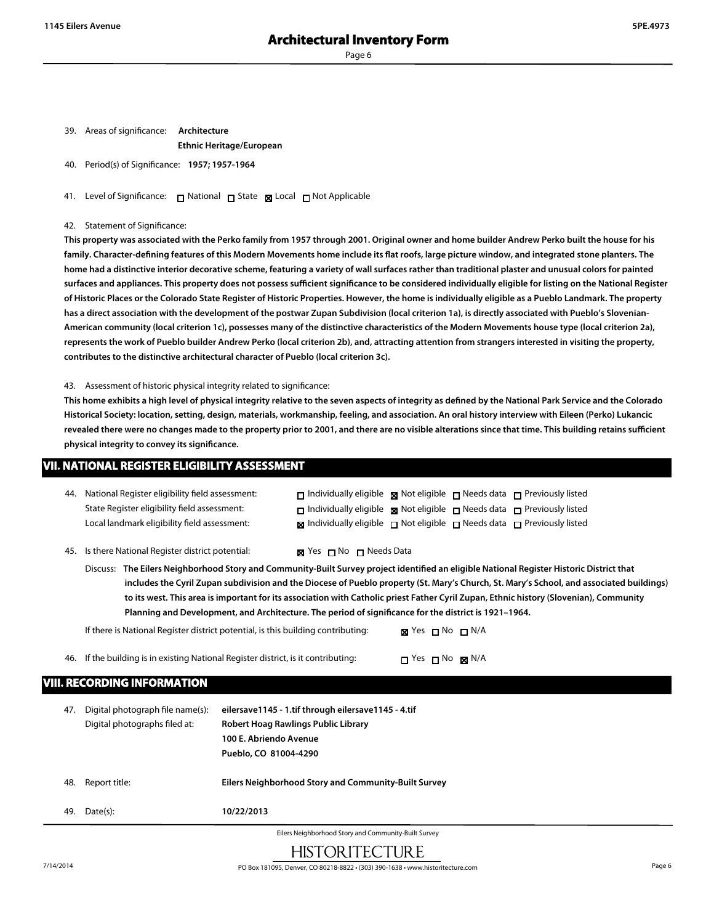39. Areas of significance: **Architecture**

**Ethnic Heritage/European**

40. Period(s) of Significance: **1957; 1957-1964**

41. Level of Significance: □ National □ State ■ Local □ Not Applicable

#### 42. Statement of Significance:

**This property was associated with the Perko family from 1957 through 2001. Original owner and home builder Andrew Perko built the house for his family. Character-defining features of this Modern Movements home include its flat roofs, large picture window, and integrated stone planters. The home had a distinctive interior decorative scheme, featuring a variety of wall surfaces rather than traditional plaster and unusual colors for painted surfaces and appliances. This property does not possess sufficient significance to be considered individually eligible for listing on the National Register of Historic Places or the Colorado State Register of Historic Properties. However, the home is individually eligible as a Pueblo Landmark. The property has a direct association with the development of the postwar Zupan Subdivision (local criterion 1a), is directly associated with Pueblo's Slovenian-American community (local criterion 1c), possesses many of the distinctive characteristics of the Modern Movements house type (local criterion 2a), represents the work of Pueblo builder Andrew Perko (local criterion 2b), and, attracting attention from strangers interested in visiting the property, contributes to the distinctive architectural character of Pueblo (local criterion 3c).**

43. Assessment of historic physical integrity related to significance:

**This home exhibits a high level of physical integrity relative to the seven aspects of integrity as defined by the National Park Service and the Colorado Historical Society: location, setting, design, materials, workmanship, feeling, and association. An oral history interview with Eileen (Perko) Lukancic revealed there were no changes made to the property prior to 2001, and there are no visible alterations since that time. This building retains sufficient physical integrity to convey its significance.**

#### **VII. NATIONAL REGISTER ELIGIBILITY ASSESSMENT**

| 44.                                                 | National Register eligibility field assessment:                                                                                                                                                                                                                                                                                                                                                                                                                                                                                          |                                                                                                                                               |                                |                  |  | $\Box$ Individually eligible $\Box$ Not eligible $\Box$ Needs data $\Box$ Previously listed      |  |  |
|-----------------------------------------------------|------------------------------------------------------------------------------------------------------------------------------------------------------------------------------------------------------------------------------------------------------------------------------------------------------------------------------------------------------------------------------------------------------------------------------------------------------------------------------------------------------------------------------------------|-----------------------------------------------------------------------------------------------------------------------------------------------|--------------------------------|------------------|--|--------------------------------------------------------------------------------------------------|--|--|
|                                                     | State Register eligibility field assessment:                                                                                                                                                                                                                                                                                                                                                                                                                                                                                             |                                                                                                                                               |                                |                  |  | □ Individually eligible ■ Not eligible □ Needs data □ Previously listed                          |  |  |
|                                                     | Local landmark eligibility field assessment:                                                                                                                                                                                                                                                                                                                                                                                                                                                                                             |                                                                                                                                               |                                |                  |  | $\boxtimes$ Individually eligible $\Box$ Not eligible $\Box$ Needs data $\Box$ Previously listed |  |  |
| 45.                                                 | Is there National Register district potential:                                                                                                                                                                                                                                                                                                                                                                                                                                                                                           |                                                                                                                                               | <b>x</b> Yes ⊓ No ⊓ Needs Data |                  |  |                                                                                                  |  |  |
|                                                     | Discuss: The Eilers Neighborhood Story and Community-Built Survey project identified an eligible National Register Historic District that<br>includes the Cyril Zupan subdivision and the Diocese of Pueblo property (St. Mary's Church, St. Mary's School, and associated buildings)<br>to its west. This area is important for its association with Catholic priest Father Cyril Zupan, Ethnic history (Slovenian), Community<br>Planning and Development, and Architecture. The period of significance for the district is 1921-1964. |                                                                                                                                               |                                |                  |  |                                                                                                  |  |  |
|                                                     | If there is National Register district potential, is this building contributing:                                                                                                                                                                                                                                                                                                                                                                                                                                                         |                                                                                                                                               |                                | ⊠ Yes □ No □ N/A |  |                                                                                                  |  |  |
| 46.                                                 | If the building is in existing National Register district, is it contributing:<br>$\Box$ Yes $\Box$ No $\boxtimes$ N/A                                                                                                                                                                                                                                                                                                                                                                                                                   |                                                                                                                                               |                                |                  |  |                                                                                                  |  |  |
|                                                     | <b>VIII. RECORDING INFORMATION</b>                                                                                                                                                                                                                                                                                                                                                                                                                                                                                                       |                                                                                                                                               |                                |                  |  |                                                                                                  |  |  |
| 47.                                                 | Digital photograph file name(s):<br>Digital photographs filed at:                                                                                                                                                                                                                                                                                                                                                                                                                                                                        | eilersave1145 - 1.tif through eilersave1145 - 4.tif<br>Robert Hoag Rawlings Public Library<br>100 E. Abriendo Avenue<br>Pueblo, CO 81004-4290 |                                |                  |  |                                                                                                  |  |  |
| 48.                                                 | Report title:                                                                                                                                                                                                                                                                                                                                                                                                                                                                                                                            | Eilers Neighborhood Story and Community-Built Survey                                                                                          |                                |                  |  |                                                                                                  |  |  |
| 49.                                                 | Date(s):                                                                                                                                                                                                                                                                                                                                                                                                                                                                                                                                 | 10/22/2013                                                                                                                                    |                                |                  |  |                                                                                                  |  |  |
| Eilors Noighborhood Ctoningd Community Duilt Cuniou |                                                                                                                                                                                                                                                                                                                                                                                                                                                                                                                                          |                                                                                                                                               |                                |                  |  |                                                                                                  |  |  |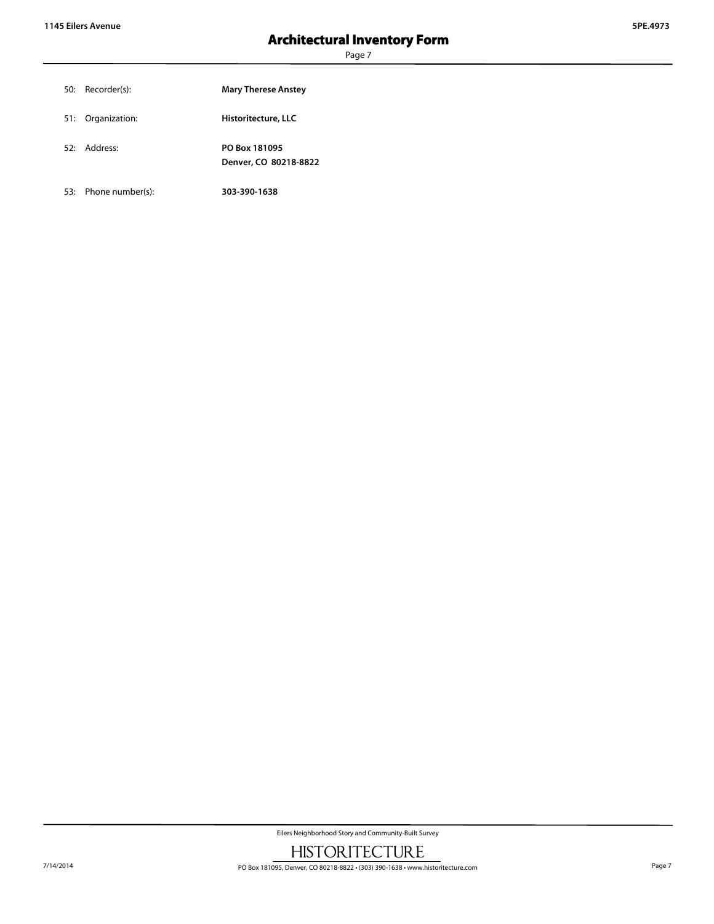Page 7

| 50: Recorder(s):  | <b>Mary Therese Anstey</b>             |
|-------------------|----------------------------------------|
| 51: Organization: | Historitecture, LLC                    |
| 52: Address:      | PO Box 181095<br>Denver, CO 80218-8822 |

53: Phone number(s): **303-390-1638**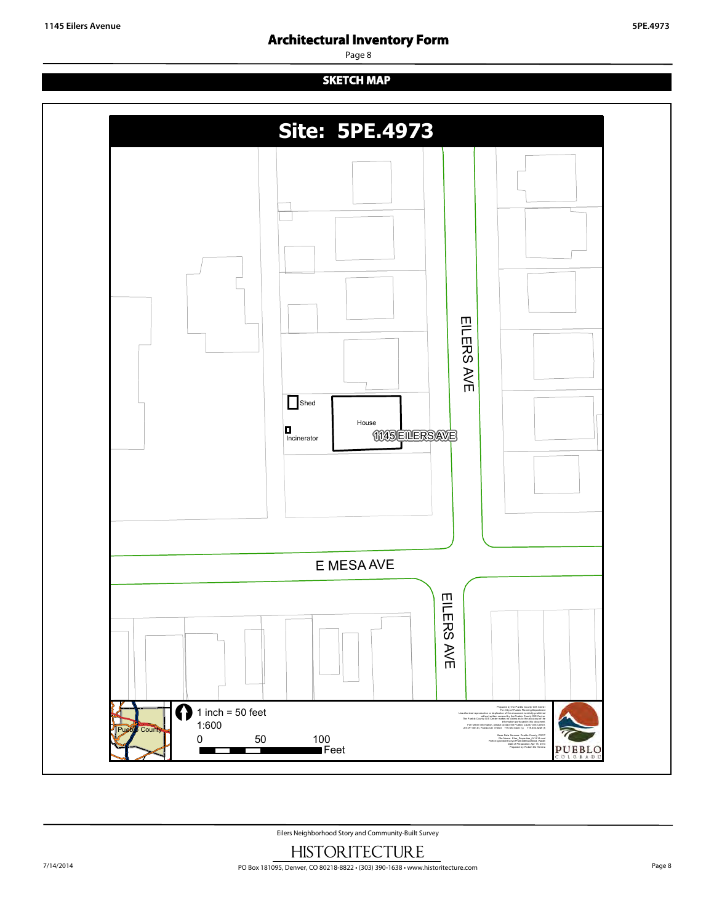Page 8

# **SKETCH MAP**